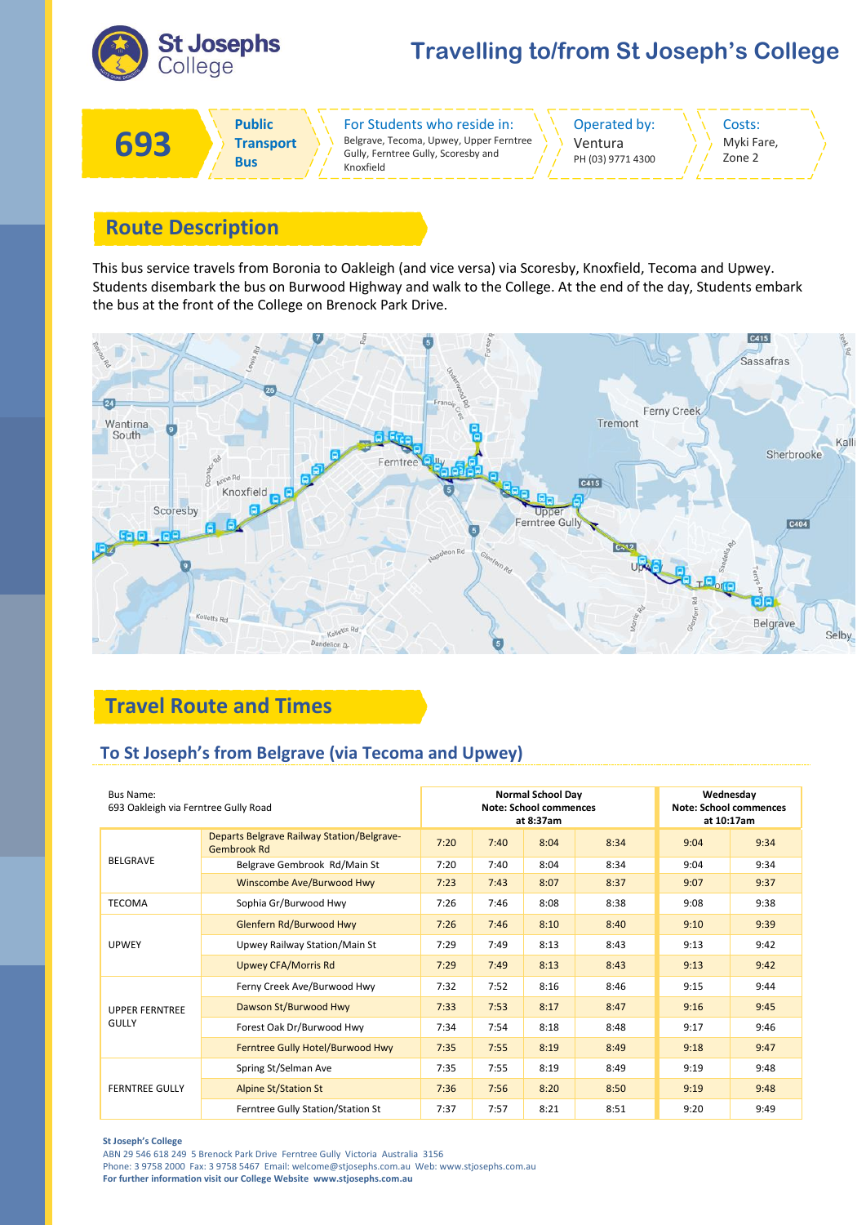

# **Travelling to/from St Joseph's College**

Costs: Myki Fare, Zone 2



## **Route Description**

This bus service travels from Boronia to Oakleigh (and vice versa) via Scoresby, Knoxfield, Tecoma and Upwey. Students disembark the bus on Burwood Highway and walk to the College. At the end of the day, Students embark the bus at the front of the College on Brenock Park Drive.



# **Travel Route and Times**

### **To St Joseph's from Belgrave (via Tecoma and Upwey)**

| <b>Bus Name:</b><br>693 Oakleigh via Ferntree Gully Road |                                                                         |      |      | <b>Normal School Day</b><br><b>Note: School commences</b><br>at 8:37am | Wednesday<br><b>Note: School commences</b><br>at 10:17am |      |      |
|----------------------------------------------------------|-------------------------------------------------------------------------|------|------|------------------------------------------------------------------------|----------------------------------------------------------|------|------|
|                                                          | <b>Departs Belgrave Railway Station/Belgrave-</b><br><b>Gembrook Rd</b> | 7:20 | 7:40 | 8:04                                                                   | 8:34                                                     | 9:04 | 9:34 |
| <b>BELGRAVE</b>                                          | Belgrave Gembrook Rd/Main St                                            | 7:20 | 7:40 | 8:04                                                                   | 8:34                                                     | 9:04 | 9:34 |
|                                                          | Winscombe Ave/Burwood Hwy                                               | 7:23 | 7:43 | 8:07                                                                   | 8:37                                                     | 9:07 | 9:37 |
| <b>TECOMA</b>                                            | Sophia Gr/Burwood Hwy                                                   | 7:26 | 7:46 | 8:08                                                                   | 8:38                                                     | 9:08 | 9:38 |
| <b>UPWEY</b>                                             | Glenfern Rd/Burwood Hwy                                                 | 7:26 | 7:46 | 8:10                                                                   | 8:40                                                     | 9:10 | 9:39 |
|                                                          | Upwey Railway Station/Main St                                           | 7:29 | 7:49 | 8:13                                                                   | 8:43                                                     | 9:13 | 9:42 |
|                                                          | <b>Upwey CFA/Morris Rd</b>                                              | 7:29 | 7:49 | 8:13                                                                   | 8:43                                                     | 9:13 | 9:42 |
| <b>UPPER FERNTREE</b><br><b>GULLY</b>                    | Ferny Creek Ave/Burwood Hwy                                             | 7:32 | 7:52 | 8:16                                                                   | 8:46                                                     | 9:15 | 9:44 |
|                                                          | Dawson St/Burwood Hwy                                                   | 7:33 | 7:53 | 8:17                                                                   | 8:47                                                     | 9:16 | 9:45 |
|                                                          | Forest Oak Dr/Burwood Hwy                                               | 7:34 | 7:54 | 8:18                                                                   | 8:48                                                     | 9:17 | 9:46 |
|                                                          | Ferntree Gully Hotel/Burwood Hwy                                        | 7:35 | 7:55 | 8:19                                                                   | 8:49                                                     | 9:18 | 9:47 |
| <b>FERNTREE GULLY</b>                                    | Spring St/Selman Ave                                                    | 7:35 | 7:55 | 8:19                                                                   | 8:49                                                     | 9:19 | 9:48 |
|                                                          | <b>Alpine St/Station St</b>                                             | 7:36 | 7:56 | 8:20                                                                   | 8:50                                                     | 9:19 | 9:48 |
|                                                          | Ferntree Gully Station/Station St                                       | 7:37 | 7:57 | 8:21                                                                   | 8:51                                                     | 9:20 | 9:49 |

#### **St Joseph's College**

ABN 29 546 618 249 5 Brenock Park Drive Ferntree Gully Victoria Australia 3156

Phone: 3 9758 2000 Fax: 3 9758 5467 Email: welcome@stjosephs.com.au Web: www.stjosephs.com.au

**For further information visit our College Website www.stjosephs.com.au**